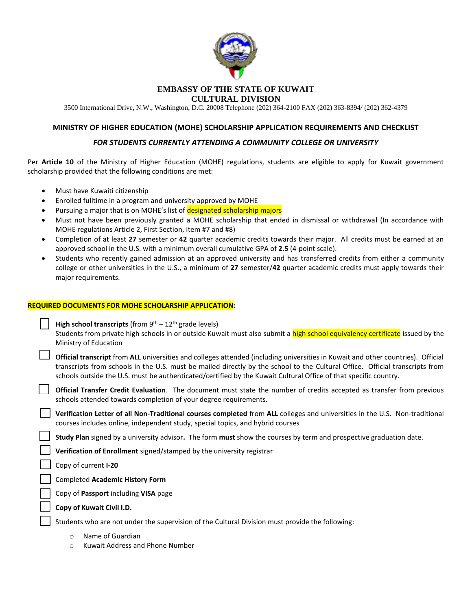

# **EMBASSY OF THE STATE OF KUWAIT**

**CULTURAL DIVISION**

3500 International Drive, N.W., Washington, D.C. 20008 Telephone (202) 364-2100 FAX (202) 363-8394/ (202) 362-4379

## **MINISTRY OF HIGHER EDUCATION (MOHE) SCHOLARSHIP APPLICATION REQUIREMENTS AND CHECKLIST**

## *FOR STUDENTS CURRENTLY ATTENDING A COMMUNITY COLLEGE OR UNIVERSITY*

Per **Article 10** of the Ministry of Higher Education (MOHE) regulations, students are eligible to apply for Kuwait government scholarship provided that the following conditions are met:

- Must have Kuwaiti citizenship
- Enrolled fulltime in a program and university approved by MOHE
- Pursuing a major that is on MOHE's list of designated scholarship majors
- Must not have been previously granted a MOHE scholarship that ended in dismissal or withdrawal (In accordance with MOHE regulations Article 2, First Section, Item #7 and #8)
- Completion of at least **27** semester or **42** quarter academic credits towards their major. All credits must be earned at an approved school in the U.S. with a minimum overall cumulative GPA of **2.5** (4-point scale).
- Students who recently gained admission at an approved university and has transferred credits from either a community college or other universities in the U.S., a minimum of **27** semester/**42** quarter academic credits must apply towards their major requirements.

#### **REQUIRED DOCUMENTS FOR MOHE SCHOLARSHIP APPLICATION:**

**High school transcripts** (from  $9<sup>th</sup> - 12<sup>th</sup>$  grade levels)

Students from private high schools in or outside Kuwait must also submit a high school equivalency certificate issued by the Ministry of Education

 **Official transcript** from **ALL** universities and colleges attended (including universities in Kuwait and other countries). Official transcripts from schools in the U.S. must be mailed directly by the school to the Cultural Office. Official transcripts from schools outside the U.S. must be authenticated/certified by the Kuwait Cultural Office of that specific country.

 **Official Transfer Credit Evaluation**. The document must state the number of credits accepted as transfer from previous schools attended towards completion of your degree requirements.

 **Verification Letter of all Non-Traditional courses completed** from **ALL** colleges and universities in the U.S.Non-traditional courses includes online, independent study, special topics, and hybrid courses

**Study Plan** signed by a university advisor**.** The form **must** show the courses by term and prospective graduation date.

**Verification of Enrollment** signed/stamped by the university registrar

Copy of current **I-20**

Completed **Academic History Form** 

Copy of **Passport** including **VISA** page

**Copy of Kuwait Civil I.D.** 

Students who are not under the supervision of the Cultural Division must provide the following:

- o Name of Guardian
- o Kuwait Address and Phone Number